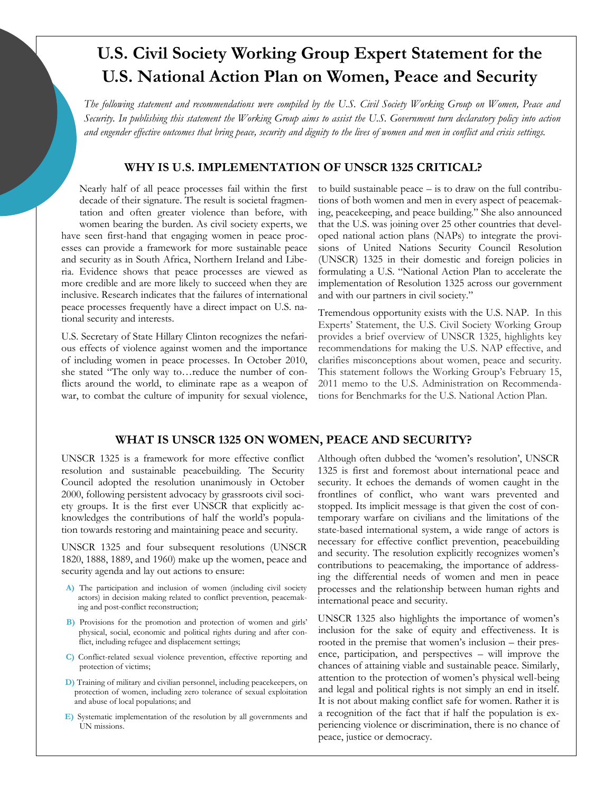# **U.S. Civil Society Working Group Expert Statement for the U.S. National Action Plan on Women, Peace and Security**

*The following statement and recommendations were compiled by the U.S. Civil Society Working Group on Women, Peace and Security. In publishing this statement the Working Group aims to assist the U.S. Government turn declaratory policy into action and engender effective outcomes that bring peace, security and dignity to the lives of women and men in conflict and crisis settings.*

### **WHY IS U.S. IMPLEMENTATION OF UNSCR 1325 CRITICAL?**

Nearly half of all peace processes fail within the first decade of their signature. The result is societal fragmentation and often greater violence than before, with women bearing the burden. As civil society experts, we have seen first-hand that engaging women in peace processes can provide a framework for more sustainable peace and security as in South Africa, Northern Ireland and Liberia. Evidence shows that peace processes are viewed as more credible and are more likely to succeed when they are inclusive. Research indicates that the failures of international peace processes frequently have a direct impact on U.S. national security and interests.

U.S. Secretary of State Hillary Clinton recognizes the nefarious effects of violence against women and the importance of including women in peace processes. In October 2010, she stated "The only way to...reduce the number of conflicts around the world, to eliminate rape as a weapon of war, to combat the culture of impunity for sexual violence,

to build sustainable peace – is to draw on the full contributions of both women and men in every aspect of peacemaking, peacekeeping, and peace building." She also announced that the U.S. was joining over 25 other countries that developed national action plans (NAPs) to integrate the provisions of United Nations Security Council Resolution (UNSCR) 1325 in their domestic and foreign policies in formulating a U.S. "National Action Plan to accelerate the implementation of Resolution 1325 across our government and with our partners in civil society."

Tremendous opportunity exists with the U.S. NAP. In this Experts' Statement, the U.S. Civil Society Working Group provides a brief overview of UNSCR 1325, highlights key recommendations for making the U.S. NAP effective, and clarifies misconceptions about women, peace and security. This statement follows the Working Group's February 15, 2011 memo to the U.S. Administration on Recommendations for Benchmarks for the U.S. National Action Plan.

### **WHAT IS UNSCR 1325 ON WOMEN, PEACE AND SECURITY?**

UNSCR 1325 is a framework for more effective conflict resolution and sustainable peacebuilding. The Security Council adopted the resolution unanimously in October 2000, following persistent advocacy by grassroots civil society groups. It is the first ever UNSCR that explicitly acknowledges the contributions of half the world's population towards restoring and maintaining peace and security.

UNSCR 1325 and four subsequent resolutions (UNSCR 1820, 1888, 1889, and 1960) make up the women, peace and security agenda and lay out actions to ensure:

- **A)** The participation and inclusion of women (including civil society actors) in decision making related to conflict prevention, peacemaking and post-conflict reconstruction;
- **B)** Provisions for the promotion and protection of women and girls' physical, social, economic and political rights during and after conflict, including refugee and displacement settings;
- **C)** Conflict-related sexual violence prevention, effective reporting and protection of victims;
- **D)** Training of military and civilian personnel, including peacekeepers, on protection of women, including zero tolerance of sexual exploitation and abuse of local populations; and
- **E)** Systematic implementation of the resolution by all governments and UN missions.

Although often dubbed the 'women's resolution', UNSCR 1325 is first and foremost about international peace and security. It echoes the demands of women caught in the frontlines of conflict, who want wars prevented and stopped. Its implicit message is that given the cost of contemporary warfare on civilians and the limitations of the state-based international system, a wide range of actors is necessary for effective conflict prevention, peacebuilding and security. The resolution explicitly recognizes women's contributions to peacemaking, the importance of addressing the differential needs of women and men in peace processes and the relationship between human rights and international peace and security.

UNSCR 1325 also highlights the importance of women's inclusion for the sake of equity and effectiveness. It is rooted in the premise that women's inclusion – their presence, participation, and perspectives – will improve the chances of attaining viable and sustainable peace. Similarly, attention to the protection of women's physical well-being and legal and political rights is not simply an end in itself. It is not about making conflict safe for women. Rather it is a recognition of the fact that if half the population is experiencing violence or discrimination, there is no chance of peace, justice or democracy.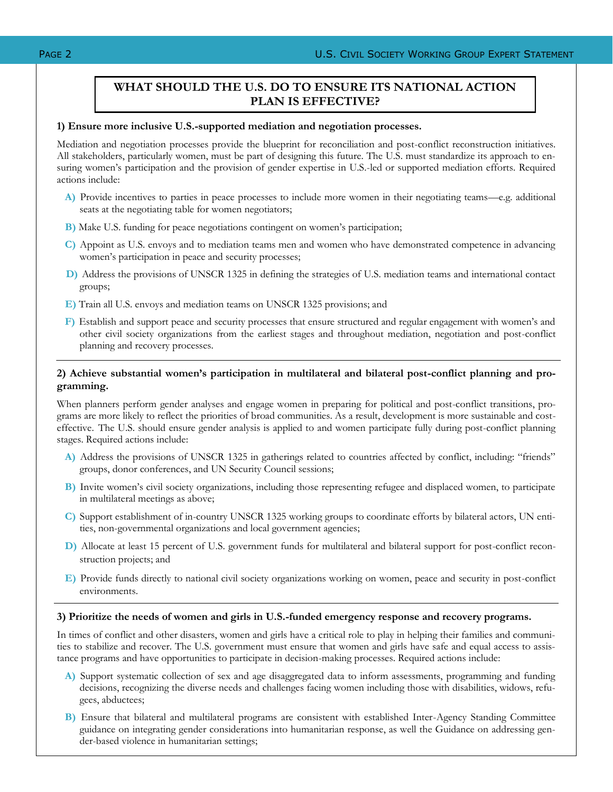# **WHAT SHOULD THE U.S. DO TO ENSURE ITS NATIONAL ACTION PLAN IS EFFECTIVE?**

### **1) Ensure more inclusive U.S.-supported mediation and negotiation processes.**

Mediation and negotiation processes provide the blueprint for reconciliation and post-conflict reconstruction initiatives. All stakeholders, particularly women, must be part of designing this future. The U.S. must standardize its approach to ensuring women's participation and the provision of gender expertise in U.S.-led or supported mediation efforts. Required actions include:

- **A)** Provide incentives to parties in peace processes to include more women in their negotiating teams—e.g. additional seats at the negotiating table for women negotiators;
- **B)** Make U.S. funding for peace negotiations contingent on women's participation;
- **C)** Appoint as U.S. envoys and to mediation teams men and women who have demonstrated competence in advancing women's participation in peace and security processes;
- **D)** Address the provisions of UNSCR 1325 in defining the strategies of U.S. mediation teams and international contact groups;
- **E)** Train all U.S. envoys and mediation teams on UNSCR 1325 provisions; and
- **F)** Establish and support peace and security processes that ensure structured and regular engagement with women's and other civil society organizations from the earliest stages and throughout mediation, negotiation and post-conflict planning and recovery processes.

### **2) Achieve substantial women's participation in multilateral and bilateral post-conflict planning and programming.**

When planners perform gender analyses and engage women in preparing for political and post-conflict transitions, programs are more likely to reflect the priorities of broad communities. As a result, development is more sustainable and costeffective. The U.S. should ensure gender analysis is applied to and women participate fully during post-conflict planning stages. Required actions include:

- A) Address the provisions of UNSCR 1325 in gatherings related to countries affected by conflict, including: "friends" groups, donor conferences, and UN Security Council sessions;
- **B)** Invite women's civil society organizations, including those representing refugee and displaced women, to participate in multilateral meetings as above;
- **C)** Support establishment of in-country UNSCR 1325 working groups to coordinate efforts by bilateral actors, UN entities, non-governmental organizations and local government agencies;
- **D)** Allocate at least 15 percent of U.S. government funds for multilateral and bilateral support for post-conflict reconstruction projects; and
- **E)** Provide funds directly to national civil society organizations working on women, peace and security in post-conflict environments.

### **3) Prioritize the needs of women and girls in U.S.-funded emergency response and recovery programs.**

In times of conflict and other disasters, women and girls have a critical role to play in helping their families and communities to stabilize and recover. The U.S. government must ensure that women and girls have safe and equal access to assistance programs and have opportunities to participate in decision-making processes. Required actions include:

- **A)** Support systematic collection of sex and age disaggregated data to inform assessments, programming and funding decisions, recognizing the diverse needs and challenges facing women including those with disabilities, widows, refugees, abductees;
- **B)** Ensure that bilateral and multilateral programs are consistent with established Inter-Agency Standing Committee guidance on integrating gender considerations into humanitarian response, as well the Guidance on addressing gender-based violence in humanitarian settings;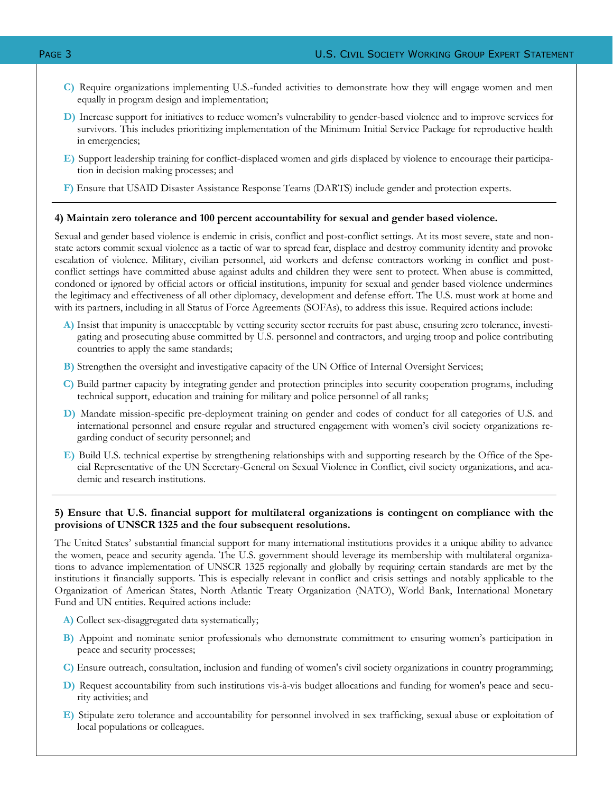- **C)** Require organizations implementing U.S.-funded activities to demonstrate how they will engage women and men equally in program design and implementation;
- **D)** Increase support for initiatives to reduce women's vulnerability to gender-based violence and to improve services for survivors. This includes prioritizing implementation of the Minimum Initial Service Package for reproductive health in emergencies;
- **E)** Support leadership training for conflict-displaced women and girls displaced by violence to encourage their participation in decision making processes; and
- **F)** Ensure that USAID Disaster Assistance Response Teams (DARTS) include gender and protection experts.

### **4) Maintain zero tolerance and 100 percent accountability for sexual and gender based violence.**

Sexual and gender based violence is endemic in crisis, conflict and post-conflict settings. At its most severe, state and nonstate actors commit sexual violence as a tactic of war to spread fear, displace and destroy community identity and provoke escalation of violence. Military, civilian personnel, aid workers and defense contractors working in conflict and postconflict settings have committed abuse against adults and children they were sent to protect. When abuse is committed, condoned or ignored by official actors or official institutions, impunity for sexual and gender based violence undermines the legitimacy and effectiveness of all other diplomacy, development and defense effort. The U.S. must work at home and with its partners, including in all Status of Force Agreements (SOFAs), to address this issue. Required actions include:

- **A)** Insist that impunity is unacceptable by vetting security sector recruits for past abuse, ensuring zero tolerance, investigating and prosecuting abuse committed by U.S. personnel and contractors, and urging troop and police contributing countries to apply the same standards;
- **B)** Strengthen the oversight and investigative capacity of the UN Office of Internal Oversight Services;
- **C)** Build partner capacity by integrating gender and protection principles into security cooperation programs, including technical support, education and training for military and police personnel of all ranks;
- **D)** Mandate mission-specific pre-deployment training on gender and codes of conduct for all categories of U.S. and international personnel and ensure regular and structured engagement with women's civil society organizations regarding conduct of security personnel; and
- **E)** Build U.S. technical expertise by strengthening relationships with and supporting research by the Office of the Special Representative of the UN Secretary-General on Sexual Violence in Conflict, civil society organizations, and academic and research institutions.

### **5) Ensure that U.S. financial support for multilateral organizations is contingent on compliance with the provisions of UNSCR 1325 and the four subsequent resolutions.**

The United States' substantial financial support for many international institutions provides it a unique ability to advance the women, peace and security agenda. The U.S. government should leverage its membership with multilateral organizations to advance implementation of UNSCR 1325 regionally and globally by requiring certain standards are met by the institutions it financially supports. This is especially relevant in conflict and crisis settings and notably applicable to the Organization of American States, North Atlantic Treaty Organization (NATO), World Bank, International Monetary Fund and UN entities. Required actions include:

- **A)** Collect sex-disaggregated data systematically;
- **B)** Appoint and nominate senior professionals who demonstrate commitment to ensuring women's participation in peace and security processes;
- **C)** Ensure outreach, consultation, inclusion and funding of women's civil society organizations in country programming;
- **D)** Request accountability from such institutions vis-à-vis budget allocations and funding for women's peace and security activities; and
- **E)** Stipulate zero tolerance and accountability for personnel involved in sex trafficking, sexual abuse or exploitation of local populations or colleagues.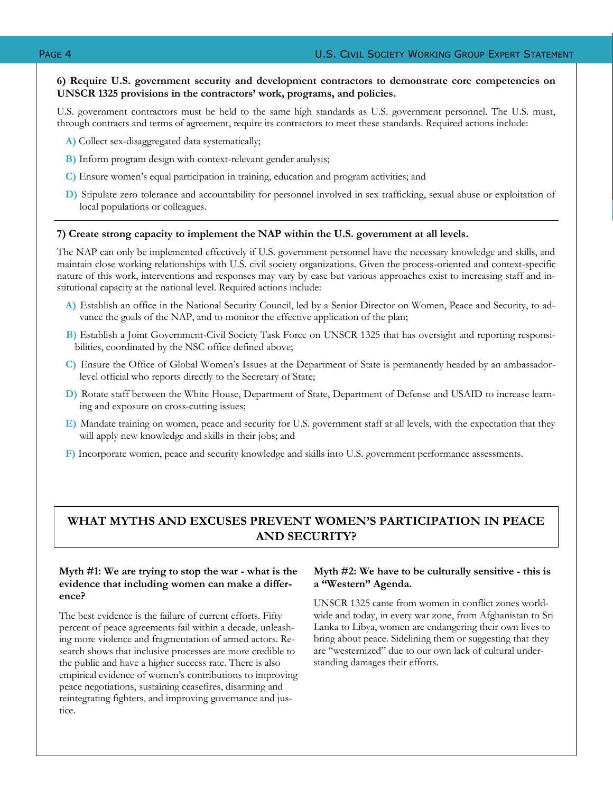### **6) Require U.S. government security and development contractors to demonstrate core competencies on UNSCR 1325 provisions in the contractors' work, programs, and policies.**

U.S. government contractors must be held to the same high standards as U.S. government personnel. The U.S. must, through contracts and terms of agreement, require its contractors to meet these standards. Required actions include:

- **A)** Collect sex-disaggregated data systematically;
- **B)** Inform program design with context-relevant gender analysis;
- **C)** Ensure women's equal participation in training, education and program activities; and
- **D)** Stipulate zero tolerance and accountability for personnel involved in sex trafficking, sexual abuse or exploitation of local populations or colleagues.

### **7) Create strong capacity to implement the NAP within the U.S. government at all levels.**

The NAP can only be implemented effectively if U.S. government personnel have the necessary knowledge and skills, and maintain close working relationships with U.S. civil society organizations. Given the process-oriented and context-specific nature of this work, interventions and responses may vary by case but various approaches exist to increasing staff and institutional capacity at the national level. Required actions include:

- **A)** Establish an office in the National Security Council, led by a Senior Director on Women, Peace and Security, to advance the goals of the NAP, and to monitor the effective application of the plan;
- **B)** Establish a Joint Government-Civil Society Task Force on UNSCR 1325 that has oversight and reporting responsibilities, coordinated by the NSC office defined above;
- **C)** Ensure the Office of Global Women's Issues at the Department of State is permanently headed by an ambassadorlevel official who reports directly to the Secretary of State;
- **D)** Rotate staff between the White House, Department of State, Department of Defense and USAID to increase learning and exposure on cross-cutting issues;
- **E)** Mandate training on women, peace and security for U.S. government staff at all levels, with the expectation that they will apply new knowledge and skills in their jobs; and
- **F)** Incorporate women, peace and security knowledge and skills into U.S. government performance assessments.

# **WHAT MYTHS AND EXCUSES PREVENT WOMEN'S PARTICIPATION IN PEACE AND SECURITY?**

### **Myth #1: We are trying to stop the war - what is the evidence that including women can make a difference?**

The best evidence is the failure of current efforts. Fifty percent of peace agreements fail within a decade, unleashing more violence and fragmentation of armed actors. Research shows that inclusive processes are more credible to the public and have a higher success rate. There is also empirical evidence of women's contributions to improving peace negotiations, sustaining ceasefires, disarming and reintegrating fighters, and improving governance and justice.

### **Myth #2: We have to be culturally sensitive - this is a "Western" Agenda.**

UNSCR 1325 came from women in conflict zones worldwide and today, in every war zone, from Afghanistan to Sri Lanka to Libya, women are endangering their own lives to bring about peace. Sidelining them or suggesting that they are "westernized" due to our own lack of cultural understanding damages their efforts.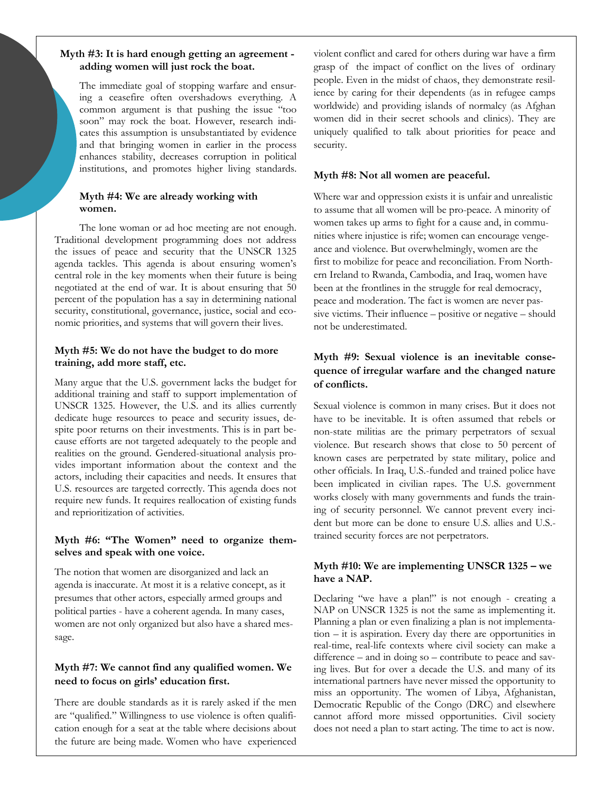### **Myth #3: It is hard enough getting an agreement adding women will just rock the boat.**

The immediate goal of stopping warfare and ensuring a ceasefire often overshadows everything. A common argument is that pushing the issue "too soon" may rock the boat. However, research indicates this assumption is unsubstantiated by evidence and that bringing women in earlier in the process enhances stability, decreases corruption in political institutions, and promotes higher living standards.

### **Myth #4: We are already working with women.**

The lone woman or ad hoc meeting are not enough. Traditional development programming does not address the issues of peace and security that the UNSCR 1325 agenda tackles. This agenda is about ensuring women's central role in the key moments when their future is being negotiated at the end of war. It is about ensuring that 50 percent of the population has a say in determining national security, constitutional, governance, justice, social and economic priorities, and systems that will govern their lives.

### **Myth #5: We do not have the budget to do more training, add more staff, etc.**

Many argue that the U.S. government lacks the budget for additional training and staff to support implementation of UNSCR 1325. However, the U.S. and its allies currently dedicate huge resources to peace and security issues, despite poor returns on their investments. This is in part because efforts are not targeted adequately to the people and realities on the ground. Gendered-situational analysis provides important information about the context and the actors, including their capacities and needs. It ensures that U.S. resources are targeted correctly. This agenda does not require new funds. It requires reallocation of existing funds and reprioritization of activities.

### **Myth #6: "The Women" need to organize themselves and speak with one voice.**

The notion that women are disorganized and lack an agenda is inaccurate. At most it is a relative concept, as it presumes that other actors, especially armed groups and political parties - have a coherent agenda. In many cases, women are not only organized but also have a shared message.

### **Myth #7: We cannot find any qualified women. We need to focus on girls' education first.**

There are double standards as it is rarely asked if the men are "qualified." Willingness to use violence is often qualification enough for a seat at the table where decisions about the future are being made. Women who have experienced violent conflict and cared for others during war have a firm grasp of the impact of conflict on the lives of ordinary people. Even in the midst of chaos, they demonstrate resilience by caring for their dependents (as in refugee camps worldwide) and providing islands of normalcy (as Afghan women did in their secret schools and clinics). They are uniquely qualified to talk about priorities for peace and security.

### **Myth #8: Not all women are peaceful.**

Where war and oppression exists it is unfair and unrealistic to assume that all women will be pro-peace. A minority of women takes up arms to fight for a cause and, in communities where injustice is rife; women can encourage vengeance and violence. But overwhelmingly, women are the first to mobilize for peace and reconciliation. From Northern Ireland to Rwanda, Cambodia, and Iraq, women have been at the frontlines in the struggle for real democracy, peace and moderation. The fact is women are never passive victims. Their influence – positive or negative – should not be underestimated.

## **Myth #9: Sexual violence is an inevitable consequence of irregular warfare and the changed nature of conflicts.**

Sexual violence is common in many crises. But it does not have to be inevitable. It is often assumed that rebels or non-state militias are the primary perpetrators of sexual violence. But research shows that close to 50 percent of known cases are perpetrated by state military, police and other officials. In Iraq, U.S.-funded and trained police have been implicated in civilian rapes. The U.S. government works closely with many governments and funds the training of security personnel. We cannot prevent every incident but more can be done to ensure U.S. allies and U.S. trained security forces are not perpetrators.

### **Myth #10: We are implementing UNSCR 1325 – we have a NAP.**

Declaring "we have a plan!" is not enough - creating a NAP on UNSCR 1325 is not the same as implementing it. Planning a plan or even finalizing a plan is not implementation – it is aspiration. Every day there are opportunities in real-time, real-life contexts where civil society can make a difference – and in doing so – contribute to peace and saving lives. But for over a decade the U.S. and many of its international partners have never missed the opportunity to miss an opportunity. The women of Libya, Afghanistan, Democratic Republic of the Congo (DRC) and elsewhere cannot afford more missed opportunities. Civil society does not need a plan to start acting. The time to act is now.